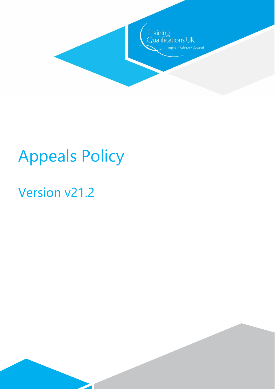

# Appeals Policy

 $\overline{\phantom{a}}$ 

# Version v21.2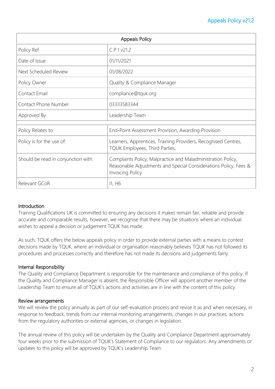# Appeals Policy v21.2

| <b>Appeals Policy</b>               |                                                                                                                                                             |
|-------------------------------------|-------------------------------------------------------------------------------------------------------------------------------------------------------------|
| Policy Ref                          | C.P.1 v21.2                                                                                                                                                 |
| Date of Issue                       | 01/11/2021                                                                                                                                                  |
| Next Scheduled Review               | 01/08/2022                                                                                                                                                  |
| Policy Owner                        | Quality & Compliance Manager                                                                                                                                |
| Contact Email                       | compliance@tquk.org                                                                                                                                         |
| Contact Phone Number                | 03333583344                                                                                                                                                 |
| Approved By                         | Leadership Team                                                                                                                                             |
| Policy Relates to:                  | End-Point Assessment Provision, Awarding Provision                                                                                                          |
| Policy is for the use of:           | Learners, Apprentices, Training Providers, Recognised Centres,<br>TQUK Employees, Third Parties,                                                            |
| Should be read in conjunction with: | Complaints Policy, Malpractice and Maladministration Policy,<br>Reasonable Adjustments and Special Considerations Policy, Fees &<br><b>Invoicing Policy</b> |
| Relevant GCoR                       | 11, H6                                                                                                                                                      |

#### **Introduction**

Training Qualifications UK is committed to ensuring any decisions it makes remain fair, reliable and provide accurate and comparable results, however, we recognise that there may be situations where an individual wishes to appeal a decision or judgement TQUK has made.

As such, TQUK offers the below appeals policy in order to provide external parties with a means to contest decisions made by TQUK, where an individual or organisation reasonably believes TQUK has not followed its procedures and processes correctly and therefore has not made its decisions and judgements fairly.

#### Internal Responsibility

The Quality and Compliance Department is responsible for the maintenance and compliance of this policy. If the Quality and Compliance Manager is absent, the Responsible Officer will appoint another member of the Leadership Team to ensure all of TQUK's actions and activities are in line with the content of this policy.

#### Review arrangements

We will review the policy annually as part of our self-evaluation process and revise it as and when necessary, in response to feedback, trends from our internal monitoring arrangements, changes in our practices, actions from the regulatory authorities or external agencies, or changes in legislation.

The annual review of this policy will be undertaken by the Quality and Compliance Department approximately four weeks prior to the submission of TQUK's Statement of Compliance to our regulators. Any amendments or updates to this policy will be approved by TQUK's Leadership Team.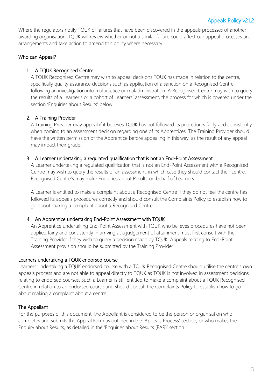Where the regulators notify TQUK of failures that have been discovered in the appeals processes of another awarding organisation, TQUK will review whether or not a similar failure could affect our appeal processes and arrangements and take action to amend this policy where necessary.

# Who can Appeal?

# 1. A TQUK Recognised Centre

A TQUK Recognised Centre may wish to appeal decisions TQUK has made in relation to the centre, specifically quality assurance decisions such as application of a sanction on a Recognised Centre following an investigation into malpractice or maladministration. A Recognised Centre may wish to query the results of a Learner's or a cohort of Learners' assessment, the process for which is covered under the section 'Enquiries about Results' below.

# 2. A Training Provider

A Training Provider may appeal if it believes TQUK has not followed its procedures fairly and consistently when coming to an assessment decision regarding one of its Apprentices. The Training Provider should have the written permission of the Apprentice before appealing in this way, as the result of any appeal may impact their grade.

## 3. A Learner undertaking a regulated qualification that is not an End-Point Assessment

A Learner undertaking a regulated qualification that is not an End-Point Assessment with a Recognised Centre may wish to query the results of an assessment, in which case they should contact their centre. Recognised Centre's may make Enquiries about Results on behalf of Learners.

A Learner is entitled to make a complaint about a Recognised Centre if they do not feel the centre has followed its appeals procedures correctly and should consult the Complaints Policy to establish how to go about making a complaint about a Recognised Centre.

## 4. An Apprentice undertaking End-Point Assessment with TQUK

An Apprentice undertaking End-Point Assessment with TQUK who believes procedures have not been applied fairly and consistently in arriving at a judgement of attainment must first consult with their Training Provider if they wish to query a decision made by TQUK. Appeals relating to End-Point Assessment provision should be submitted by the Training Provider.

## Learners undertaking a TQUK endorsed course

Learners undertaking a TQUK endorsed course with a TQUK Recognised Centre should utilise the centre's own appeals process and are not able to appeal directly to TQUK as TQUK is not involved in assessment decisions relating to endorsed courses. Such a Learner is still entitled to make a complaint about a TQUK Recognised Centre in relation to an endorsed course and should consult the Complaints Policy to establish how to go about making a complaint about a centre.

## The Appellant

For the purposes of this document, the Appellant is considered to be the person or organisation who completes and submits the Appeal Form as outlined in the 'Appeals Process' section, or who makes the Enquiry about Results, as detailed in the 'Enquiries about Results (EAR)' section.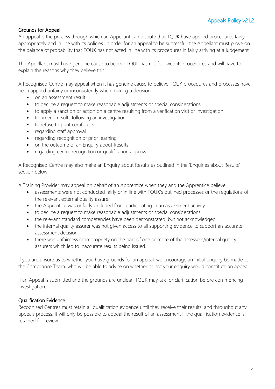## Grounds for Appeal

An appeal is the process through which an Appellant can dispute that TQUK have applied procedures fairly, appropriately and in line with its policies. In order for an appeal to be successful, the Appellant must prove on the balance of probability that TQUK has not acted in line with its procedures in fairly arriving at a judgement.

The Appellant must have genuine cause to believe TQUK has not followed its procedures and will have to explain the reasons why they believe this.

A Recognised Centre may appeal when it has genuine cause to believe TQUK procedures and processes have been applied unfairly or inconsistently when making a decision:

- on an assessment result
- to decline a request to make reasonable adjustments or special considerations
- to apply a sanction or action on a centre resulting from a verification visit or investigation
- to amend results following an investigation
- to refuse to print certificates
- regarding staff approval
- regarding recognition of prior learning
- on the outcome of an Enquiry about Results
- regarding centre recognition or qualification approval

A Recognised Centre may also make an Enquiry about Results as outlined in the 'Enquiries about Results' section below.

A Training Provider may appeal on behalf of an Apprentice when they and the Apprentice believe:

- assessments were not conducted fairly or in line with TQUK's outlined processes or the regulations of the relevant external quality assurer
- the Apprentice was unfairly excluded from participating in an assessment activity
- to decline a request to make reasonable adjustments or special considerations
- the relevant standard competencies have been demonstrated, but not acknowledged
- the internal quality assurer was not given access to all supporting evidence to support an accurate assessment decision
- there was unfairness or impropriety on the part of one or more of the assessors/internal quality assurers which led to inaccurate results being issued.

If you are unsure as to whether you have grounds for an appeal, we encourage an initial enquiry be made to the Compliance Team, who will be able to advise on whether or not your enquiry would constitute an appeal.

If an Appeal is submitted and the grounds are unclear, TQUK may ask for clarification before commencing investigation.

#### Qualification Evidence

Recognised Centres must retain all qualification evidence until they receive their results, and throughout any appeals process. It will only be possible to appeal the result of an assessment if the qualification evidence is retained for review.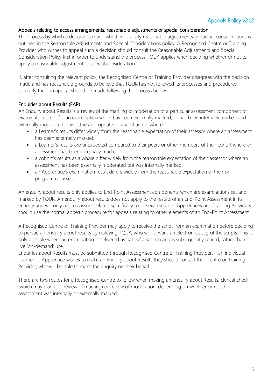# Appeals Policy v21.2

#### Appeals relating to access arrangements, reasonable adjustments or special consideration

The process by which a decision is made whether to apply reasonable adjustments or special considerations is outlined in the Reasonable Adjustments and Special Considerations policy. A Recognised Centre or Training Provider who wishes to appeal such a decision should consult the Reasonable Adjustments and Special Consideration Policy first in order to understand the process TQUK applies when deciding whether or not to apply a reasonable adjustment or special consideration.

If, after consulting the relevant policy, the Recognised Centre or Training Provider disagrees with the decision made and has reasonable grounds to believe that TQUK has not followed its processes and procedures correctly then an appeal should be made following the process below.

#### Enquiries about Results (EAR)

An Enquiry about Results is a review of the marking or moderation of a particular assessment component or examination script for an examination which has been externally marked, or has been internally marked and externally moderated. This is the appropriate course of action where:

- a Learner's results differ widely from the reasonable expectation of their assessor where an assessment has been externally marked.
- a Learner's results are unexpected compared to their peers or other members of their cohort where an assessment has been externally marked.
- a cohort's results as a whole differ widely from the reasonable expectation of their assessor where an assessment has been externally moderated but was internally marked.
- an Apprentice's examination result differs widely from the reasonable expectation of their onprogramme assessor.

An enquiry about results only applies to End-Point Assessment components which are examinations set and marked by TQUK. An enquiry about results does not apply to the results of an End-Point Assessment in its entirety and will only address issues related specifically to the examination. Apprentices and Training Providers should use the normal appeals procedure for appeals relating to other elements of an End-Point Assessment.

A Recognised Centre or Training Provider may apply to receive the script from an examination before deciding to pursue an enquiry about results by notifying TQUK, who will forward an electronic copy of the scripts. This is only possible where an examination is delivered as part of a session and is subsequently retired, rather than in live 'on-demand' use.

Enquiries about Results must be submitted through Recognised Centre or Training Provider. If an individual Learner or Apprentice wishes to make an Enquiry about Results they should contact their centre or Training Provider, who will be able to make the enquiry on their behalf.

There are two routes for a Recognised Centre to follow when making an Enquiry about Results; clerical check (which may lead to a review of marking) or review of moderation, depending on whether or not the assessment was internally or externally marked.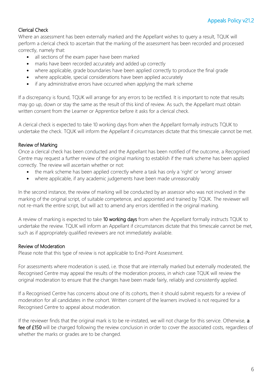# Clerical Check

Where an assessment has been externally marked and the Appellant wishes to query a result, TQUK will perform a clerical check to ascertain that the marking of the assessment has been recorded and processed correctly, namely that:

- all sections of the exam paper have been marked
- marks have been recorded accurately and added up correctly
- where applicable, grade boundaries have been applied correctly to produce the final grade
- where applicable, special considerations have been applied accurately
- if any administrative errors have occurred when applying the mark scheme

If a discrepancy is found, TQUK will arrange for any errors to be rectified. It is important to note that results may go up, down or stay the same as the result of this kind of review. As such, the Appellant must obtain written consent from the Learner or Apprentice before it asks for a clerical check.

A clerical check is expected to take 10 working days from when the Appellant formally instructs TQUK to undertake the check. TQUK will inform the Appellant if circumstances dictate that this timescale cannot be met.

# Review of Marking

Once a clerical check has been conducted and the Appellant has been notified of the outcome, a Recognised Centre may request a further review of the original marking to establish if the mark scheme has been applied correctly. The review will ascertain whether or not:

- the mark scheme has been applied correctly where a task has only a 'right' or 'wrong' answer
- where applicable, if any academic judgements have been made unreasonably

In the second instance, the review of marking will be conducted by an assessor who was not involved in the marking of the original script, of suitable competence, and appointed and trained by TQUK. The reviewer will not re-mark the entire script, but will act to amend any errors identified in the original marking.

A review of marking is expected to take 10 working days from when the Appellant formally instructs TQUK to undertake the review. TQUK will inform an Appellant if circumstances dictate that this timescale cannot be met, such as if appropriately qualified reviewers are not immediately available.

## Review of Moderation

Please note that this type of review is not applicable to End-Point Assessment.

For assessments where moderation is used, i.e. those that are internally marked but externally moderated, the Recognised Centre may appeal the results of the moderation process, in which case TQUK will review the original moderation to ensure that the changes have been made fairly, reliably and consistently applied.

If a Recognised Centre has concerns about one of its cohorts, then it should submit requests for a review of moderation for all candidates in the cohort. Written consent of the learners involved is not required for a Recognised Centre to appeal about moderation.

If the reviewer finds that the original mark is to be re-instated, we will not charge for this service. Otherwise, a fee of £150 will be charged following the review conclusion in order to cover the associated costs, regardless of whether the marks or grades are to be changed.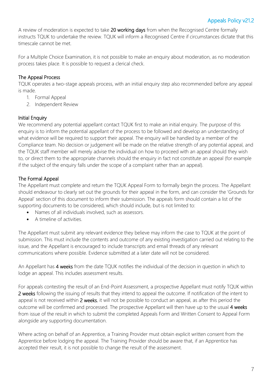A review of moderation is expected to take 20 working days from when the Recognised Centre formally instructs TQUK to undertake the review. TQUK will inform a Recognised Centre if circumstances dictate that this timescale cannot be met.

For a Multiple Choice Examination, it is not possible to make an enquiry about moderation, as no moderation process takes place. It is possible to request a clerical check.

# The Appeal Process

TQUK operates a two-stage appeals process, with an initial enquiry step also recommended before any appeal is made.

- 1. Formal Appeal
- 2. Independent Review

# Initial Enquiry

We recommend any potential appellant contact TQUK first to make an initial enquiry. The purpose of this enquiry is to inform the potential appellant of the process to be followed and develop an understanding of what evidence will be required to support their appeal. The enquiry will be handled by a member of the Compliance team. No decision or judgement will be made on the relative strength of any potential appeal, and the TQUK staff member will merely advise the individual on how to proceed with an appeal should they wish to, or direct them to the appropriate channels should the enquiry in fact not constitute an appeal (for example if the subject of the enquiry falls under the scope of a complaint rather than an appeal).

# The Formal Appeal

The Appellant must complete and return the TQUK Appeal Form to formally begin the process. The Appellant should endeavour to clearly set out the grounds for their appeal in the form, and can consider the 'Grounds for Appeal' section of this document to inform their submission. The appeals form should contain a list of the supporting documents to be considered, which should include, but is not limited to:

- Names of all individuals involved, such as assessors.
- A timeline of activities.

The Appellant must submit any relevant evidence they believe may inform the case to TQUK at the point of submission. This must include the contents and outcome of any existing investigation carried out relating to the issue, and the Appellant is encouraged to include transcripts and email threads of any relevant communications where possible. Evidence submitted at a later date will not be considered.

An Appellant has 4 weeks from the date TQUK notifies the individual of the decision in question in which to lodge an appeal. This includes assessment results.

For appeals contesting the result of an End-Point Assessment, a prospective Appellant must notify TQUK within 2 weeks following the issuing of results that they intend to appeal the outcome. If notification of the intent to appeal is not received within 2 weeks, it will not be possible to conduct an appeal, as after this period the outcome will be confirmed and processed. The prospective Appellant will then have up to the usual 4 weeks from issue of the result in which to submit the completed Appeals Form and Written Consent to Appeal Form alongside any supporting documentation.

Where acting on behalf of an Apprentice, a Training Provider must obtain explicit written consent from the Apprentice before lodging the appeal. The Training Provider should be aware that, if an Apprentice has accepted their result, it is not possible to change the result of the assessment.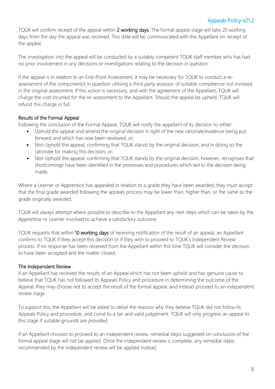TQUK will confirm receipt of the appeal within 2 working days. The formal appeal stage will take 20 working days from the day the appeal was received. This date will be communicated with the Appellant on receipt of the appeal.

The investigation into the appeal will be conducted by a suitably competent TQUK staff member who has had no prior involvement in any decisions or investigations relating to the decision in question.

If the appeal is in relation to an End-Point Assessment, it may be necessary for TQUK to conduct a reassessment of the component/s in question utilising a third party assessor of suitable competence not involved in the original assessment. If this action is necessary, and with the agreement of the Appellant, TQUK will charge the cost incurred for the re-assessment to the Appellant. Should the appeal be upheld, TQUK will refund this charge in full.

# Results of the Formal Appeal

Following the conclusion of the Formal Appeal, TQUK will notify the appellant of its decision to either:

- Uphold the appeal and amend the original decision in light of the new rationale/evidence being put forward and which has now been reviewed, or;
- Not-Uphold the appeal, confirming that TOUK stands by the original decision, and in doing so the rationale for making this decision, or;
- Not-Uphold the appeal, confirming that TQUK stands by the original decision, however, recognises that shortcomings have been identified in the processes and procedures which led to the decision being made.

Where a Learner or Apprentice has appealed in relation to a grade they have been awarded, they must accept that the final grade awarded following the appeals process may be lower than, higher than, or the same as the grade originally awarded.

TQUK will always attempt where possible to describe to the Appellant any next steps which can be taken by the Apprentice or Learner involved to achieve a satisfactory outcome.

TQUK requests that within 10 working days of receiving notification of the result of an appeal, an Appellant confirms to TQUK if they accept this decision or if they wish to proceed to TQUK's Independent Review process. If no response has been received from the Appellant within this time TQUK will consider the decision to have been accepted and the matter closed.

## The Independent Review

If an Appellant has received the results of an Appeal which has not been upheld and has genuine cause to believe that TQUK has not followed its Appeals Policy and procedure in determining the outcome of the Appeal, they may choose not to accept the result of the formal appeal, and instead proceed to an independent review stage.

To support this, the Appellant will be asked to detail the reasons why they believe TQUK did not follow its Appeals Policy and procedure, and come to a fair and valid judgement. TQUK will only progress an appeal to this stage if suitable grounds are provided.

If an Appellant chooses to proceed to an independent review, remedial steps suggested on conclusion of the formal appeal stage will not be applied. Once the independent review is complete, any remedial steps recommended by the independent review will be applied instead.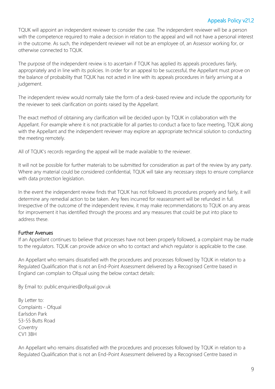# Appeals Policy v21.2

TQUK will appoint an independent reviewer to consider the case. The independent reviewer will be a person with the competence required to make a decision in relation to the appeal and will not have a personal interest in the outcome. As such, the independent reviewer will not be an employee of, an Assessor working for, or otherwise connected to TQUK.

The purpose of the independent review is to ascertain if TQUK has applied its appeals procedures fairly, appropriately and in line with its policies. In order for an appeal to be successful, the Appellant must prove on the balance of probability that TQUK has not acted in line with its appeals procedures in fairly arriving at a judgement.

The independent review would normally take the form of a desk-based review and include the opportunity for the reviewer to seek clarification on points raised by the Appellant.

The exact method of obtaining any clarification will be decided upon by TQUK in collaboration with the Appellant. For example where it is not practicable for all parties to conduct a face to face meeting, TQUK along with the Appellant and the independent reviewer may explore an appropriate technical solution to conducting the meeting remotely.

All of TQUK's records regarding the appeal will be made available to the reviewer.

It will not be possible for further materials to be submitted for consideration as part of the review by any party. Where any material could be considered confidential, TQUK will take any necessary steps to ensure compliance with data protection legislation.

In the event the independent review finds that TQUK has not followed its procedures properly and fairly, it will determine any remedial action to be taken. Any fees incurred for reassessment will be refunded in full. Irrespective of the outcome of the independent review, it may make recommendations to TQUK on any areas for improvement it has identified through the process and any measures that could be put into place to address these.

#### Further Avenues

If an Appellant continues to believe that processes have not been properly followed, a complaint may be made to the regulators. TQUK can provide advice on who to contact and which regulator is applicable to the case.

An Appellant who remains dissatisfied with the procedures and processes followed by TQUK in relation to a Regulated Qualification that is not an End-Point Assessment delivered by a Recognised Centre based in England can complain to Ofqual using the below contact details:

By Email to: public.enquiries@ofqual.gov.uk

By Letter to: Complaints - Ofqual Earlsdon Park 53-55 Butts Road Coventry CV1 3BH

An Appellant who remains dissatisfied with the procedures and processes followed by TQUK in relation to a Regulated Qualification that is not an End-Point Assessment delivered by a Recognised Centre based in